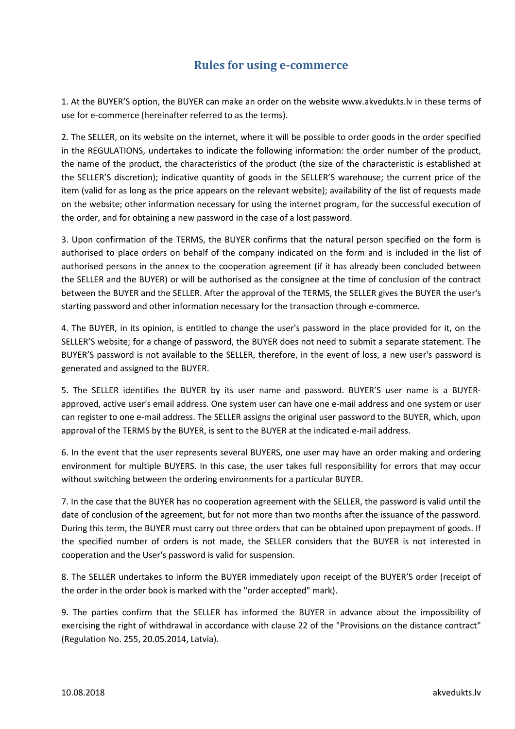## **Rules for using e-commerce**

1. At the BUYER'S option, the BUYER can make an order on the website www.akvedukts.lv in these terms of use for e-commerce (hereinafter referred to as the terms).

2. The SELLER, on its website on the internet, where it will be possible to order goods in the order specified in the REGULATIONS, undertakes to indicate the following information: the order number of the product, the name of the product, the characteristics of the product (the size of the characteristic is established at the SELLER'S discretion); indicative quantity of goods in the SELLER'S warehouse; the current price of the item (valid for as long as the price appears on the relevant website); availability of the list of requests made on the website; other information necessary for using the internet program, for the successful execution of the order, and for obtaining a new password in the case of a lost password.

3. Upon confirmation of the TERMS, the BUYER confirms that the natural person specified on the form is authorised to place orders on behalf of the company indicated on the form and is included in the list of authorised persons in the annex to the cooperation agreement (if it has already been concluded between the SELLER and the BUYER) or will be authorised as the consignee at the time of conclusion of the contract between the BUYER and the SELLER. After the approval of the TERMS, the SELLER gives the BUYER the user's starting password and other information necessary for the transaction through e-commerce.

4. The BUYER, in its opinion, is entitled to change the user's password in the place provided for it, on the SELLER'S website; for a change of password, the BUYER does not need to submit a separate statement. The BUYER'S password is not available to the SELLER, therefore, in the event of loss, a new user's password is generated and assigned to the BUYER.

5. The SELLER identifies the BUYER by its user name and password. BUYER'S user name is a BUYERapproved, active user's email address. One system user can have one e-mail address and one system or user can register to one e-mail address. The SELLER assigns the original user password to the BUYER, which, upon approval of the TERMS by the BUYER, is sent to the BUYER at the indicated e-mail address.

6. In the event that the user represents several BUYERS, one user may have an order making and ordering environment for multiple BUYERS. In this case, the user takes full responsibility for errors that may occur without switching between the ordering environments for a particular BUYER.

7. In the case that the BUYER has no cooperation agreement with the SELLER, the password is valid until the date of conclusion of the agreement, but for not more than two months after the issuance of the password. During this term, the BUYER must carry out three orders that can be obtained upon prepayment of goods. If the specified number of orders is not made, the SELLER considers that the BUYER is not interested in cooperation and the User's password is valid for suspension.

8. The SELLER undertakes to inform the BUYER immediately upon receipt of the BUYER'S order (receipt of the order in the order book is marked with the "order accepted" mark).

9. The parties confirm that the SELLER has informed the BUYER in advance about the impossibility of exercising the right of withdrawal in accordance with clause 22 of the "Provisions on the distance contract" (Regulation No. 255, 20.05.2014, Latvia).